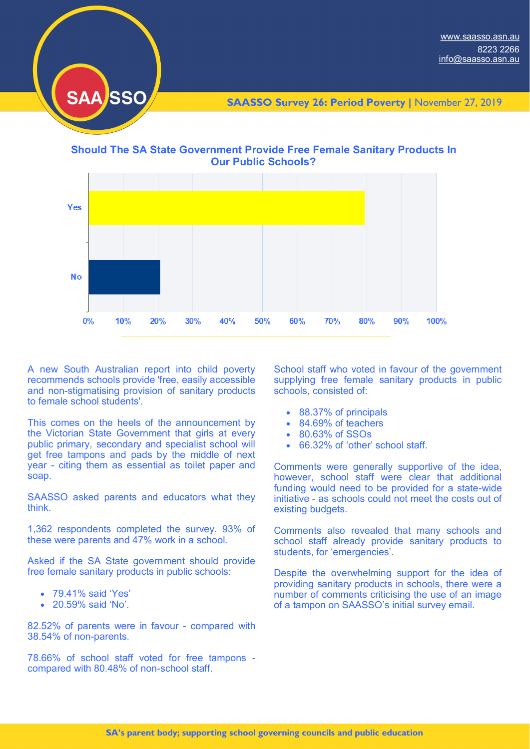

**SAASSO Survey 26: Period Poverty |** November 27, 2019

**Should The SA State Government Provide Free Female Sanitary Products In Our Public Schools?**



A new South Australian report into child poverty recommends schools provide 'free, easily accessible and non-stigmatising provision of sanitary products to female school students'.

This comes on the heels of the announcement by the Victorian State Government that girls at every public primary, secondary and specialist school will get free tampons and pads by the middle of next year - citing them as essential as toilet paper and soap.

SAASSO asked parents and educators what they think.

1,362 respondents completed the survey. 93% of these were parents and 47% work in a school.

Asked if the SA State government should provide free female sanitary products in public schools:

- 79.41% said 'Yes'
- 20.59% said 'No'.

82.52% of parents were in favour - compared with 38.54% of non-parents.

78.66% of school staff voted for free tampons compared with 80.48% of non-school staff.

School staff who voted in favour of the government supplying free female sanitary products in public schools, consisted of:

- 88.37% of principals
- 84.69% of teachers
- 80.63% of SSOs
- 66.32% of 'other' school staff.

Comments were generally supportive of the idea, however, school staff were clear that additional funding would need to be provided for a state-wide initiative - as schools could not meet the costs out of existing budgets.

Comments also revealed that many schools and school staff already provide sanitary products to students, for 'emergencies'.

Despite the overwhelming support for the idea of providing sanitary products in schools, there were a number of comments criticising the use of an image of a tampon on SAASSO's initial survey email.